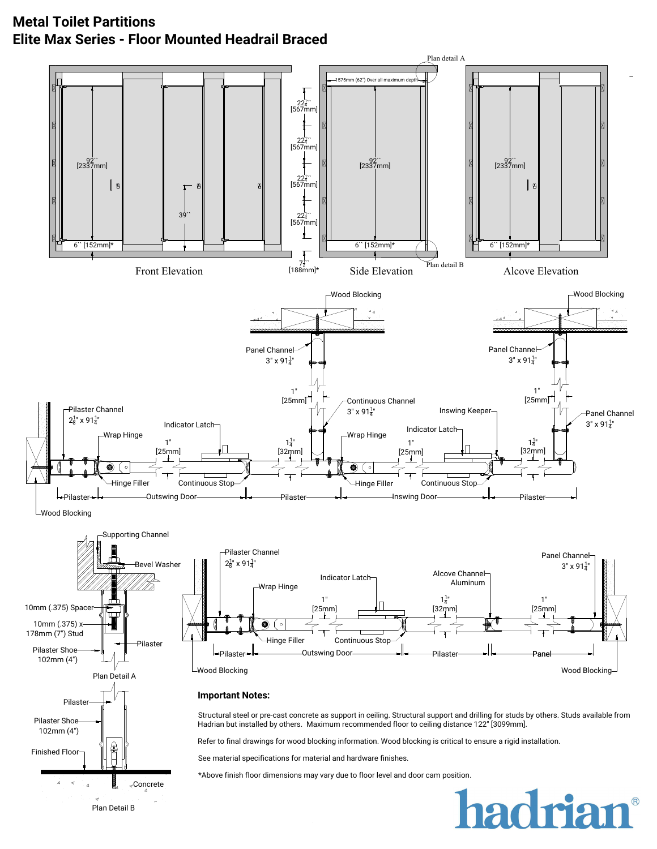## **Metal Toilet Partitions Elite Max Series - Floor Mounted Headrail Braced**